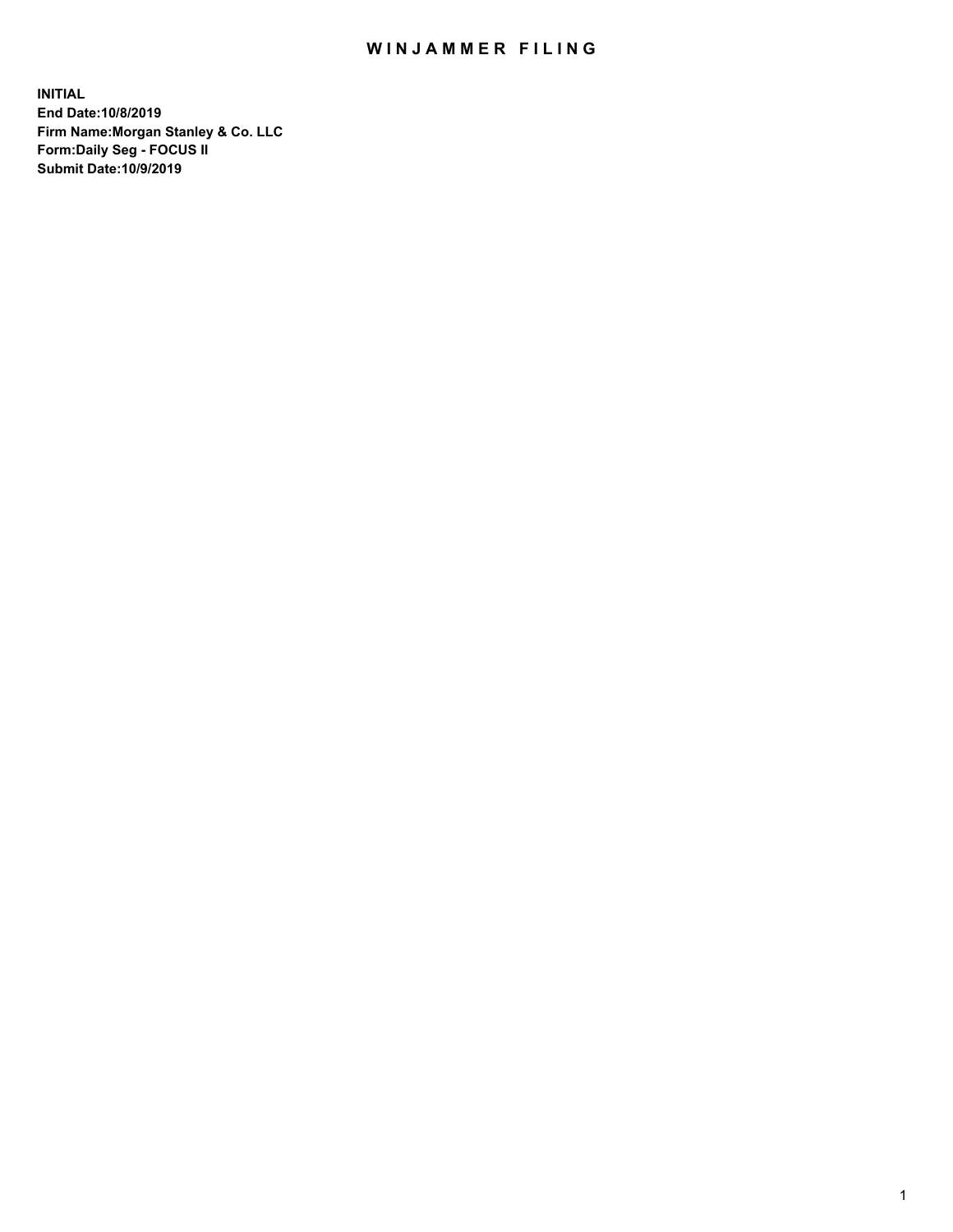## WIN JAMMER FILING

**INITIAL End Date:10/8/2019 Firm Name:Morgan Stanley & Co. LLC Form:Daily Seg - FOCUS II Submit Date:10/9/2019**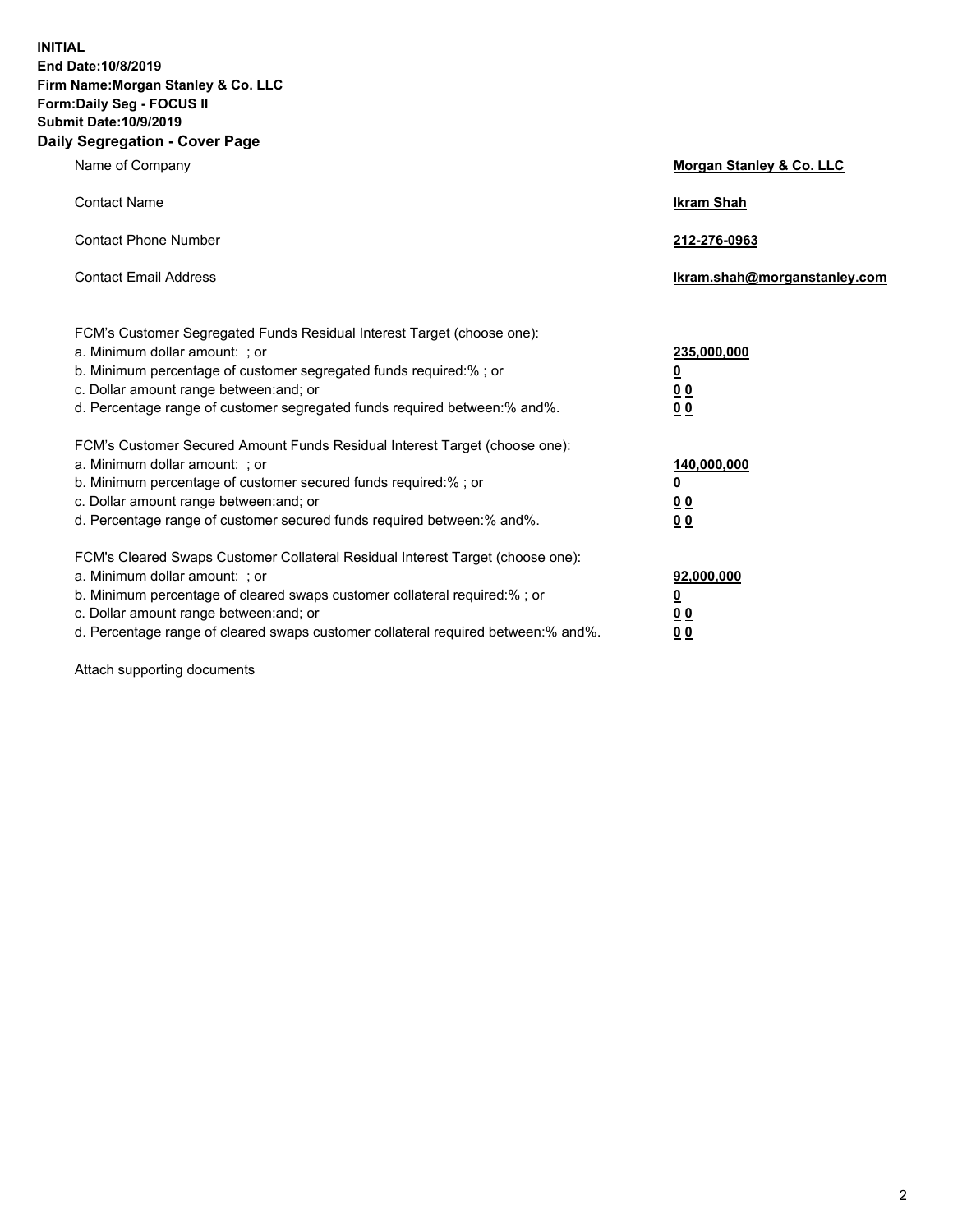**INITIAL End Date:10/8/2019 Firm Name:Morgan Stanley & Co. LLC Form:Daily Seg - FOCUS II Submit Date:10/9/2019 Daily Segregation - Cover Page**

| Name of Company                                                                                                                                                                                                                                                                                                                | Morgan Stanley & Co. LLC                               |
|--------------------------------------------------------------------------------------------------------------------------------------------------------------------------------------------------------------------------------------------------------------------------------------------------------------------------------|--------------------------------------------------------|
| <b>Contact Name</b>                                                                                                                                                                                                                                                                                                            | <b>Ikram Shah</b>                                      |
| <b>Contact Phone Number</b>                                                                                                                                                                                                                                                                                                    | 212-276-0963                                           |
| <b>Contact Email Address</b>                                                                                                                                                                                                                                                                                                   | lkram.shah@morganstanley.com                           |
| FCM's Customer Segregated Funds Residual Interest Target (choose one):<br>a. Minimum dollar amount: ; or<br>b. Minimum percentage of customer segregated funds required:% ; or<br>c. Dollar amount range between: and; or<br>d. Percentage range of customer segregated funds required between:% and%.                         | 235,000,000<br><u>0</u><br><u>0 0</u><br>0 Q           |
| FCM's Customer Secured Amount Funds Residual Interest Target (choose one):<br>a. Minimum dollar amount: ; or<br>b. Minimum percentage of customer secured funds required:%; or<br>c. Dollar amount range between: and; or<br>d. Percentage range of customer secured funds required between:% and%.                            | 140,000,000<br><u>0</u><br><u>00</u><br>0 <sub>0</sub> |
| FCM's Cleared Swaps Customer Collateral Residual Interest Target (choose one):<br>a. Minimum dollar amount: ; or<br>b. Minimum percentage of cleared swaps customer collateral required:% ; or<br>c. Dollar amount range between: and; or<br>d. Percentage range of cleared swaps customer collateral required between:% and%. | 92,000,000<br><u>0</u><br><u>00</u><br>0 <sup>0</sup>  |

Attach supporting documents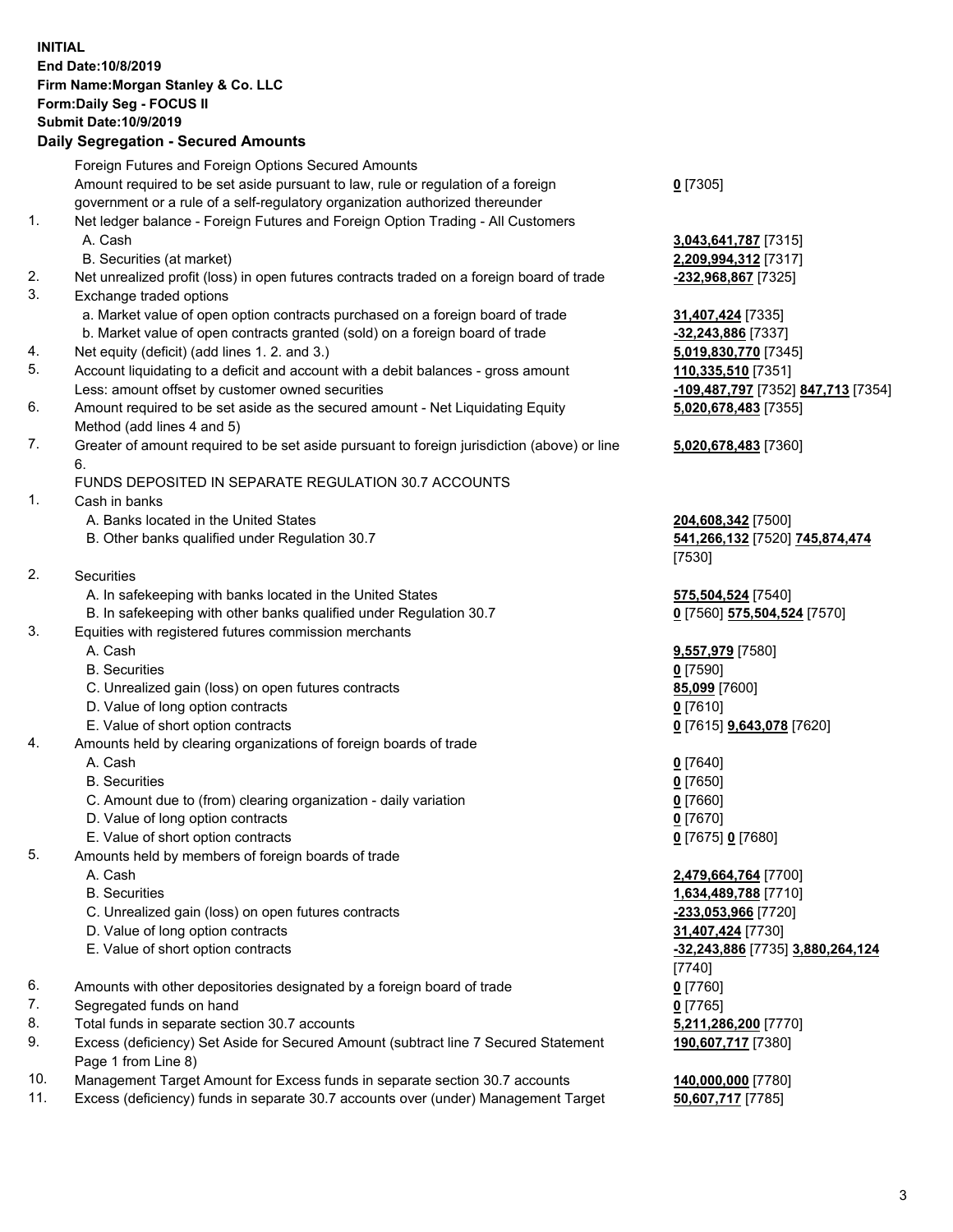## **INITIAL End Date:10/8/2019 Firm Name:Morgan Stanley & Co. LLC Form:Daily Seg - FOCUS II Submit Date:10/9/2019**

## **Daily Segregation - Secured Amounts**

|    | Foreign Futures and Foreign Options Secured Amounts                                         |                                             |
|----|---------------------------------------------------------------------------------------------|---------------------------------------------|
|    | Amount required to be set aside pursuant to law, rule or regulation of a foreign            | $0$ [7305]                                  |
|    | government or a rule of a self-regulatory organization authorized thereunder                |                                             |
| 1. | Net ledger balance - Foreign Futures and Foreign Option Trading - All Customers             |                                             |
|    | A. Cash                                                                                     | 3,043,641,787 [7315]                        |
|    | B. Securities (at market)                                                                   | 2,209,994,312 [7317]                        |
| 2. | Net unrealized profit (loss) in open futures contracts traded on a foreign board of trade   | -232,968,867 [7325]                         |
| 3. | Exchange traded options                                                                     |                                             |
|    | a. Market value of open option contracts purchased on a foreign board of trade              | 31,407,424 [7335]                           |
|    | b. Market value of open contracts granted (sold) on a foreign board of trade                | -32,243,886 [7337]                          |
| 4. | Net equity (deficit) (add lines 1.2. and 3.)                                                | 5,019,830,770 [7345]                        |
| 5. | Account liquidating to a deficit and account with a debit balances - gross amount           | 110,335,510 [7351]                          |
|    | Less: amount offset by customer owned securities                                            | -109,487,797 [7352]                         |
| 6. | Amount required to be set aside as the secured amount - Net Liquidating Equity              | 5,020,678,483 [7355]                        |
|    | Method (add lines 4 and 5)                                                                  |                                             |
| 7. | Greater of amount required to be set aside pursuant to foreign jurisdiction (above) or line | 5,020,678,483 [7360]                        |
|    | 6.                                                                                          |                                             |
|    | FUNDS DEPOSITED IN SEPARATE REGULATION 30.7 ACCOUNTS                                        |                                             |
| 1. | Cash in banks                                                                               |                                             |
|    | A. Banks located in the United States                                                       | 204,608,342 [7500]                          |
|    | B. Other banks qualified under Regulation 30.7                                              | 541,266,132 [7520] 7                        |
|    |                                                                                             | [7530]                                      |
| 2. | Securities                                                                                  |                                             |
|    | A. In safekeeping with banks located in the United States                                   | 575,504,524 [7540]                          |
|    | B. In safekeeping with other banks qualified under Regulation 30.7                          | 0 [7560] 575,504,524                        |
| 3. | Equities with registered futures commission merchants                                       |                                             |
|    | A. Cash                                                                                     | 9,557,979 [7580]                            |
|    | <b>B.</b> Securities                                                                        | $0$ [7590]                                  |
|    | C. Unrealized gain (loss) on open futures contracts                                         | 85,099 [7600]                               |
|    | D. Value of long option contracts                                                           | $0$ [7610]                                  |
| 4. | E. Value of short option contracts                                                          | 0 [7615] 9,643,078 [7                       |
|    | Amounts held by clearing organizations of foreign boards of trade                           |                                             |
|    | A. Cash                                                                                     | $0$ [7640]                                  |
|    | <b>B.</b> Securities                                                                        | $0$ [7650]                                  |
|    | C. Amount due to (from) clearing organization - daily variation                             | $0$ [7660]                                  |
|    | D. Value of long option contracts                                                           | $0$ [7670]<br>0 [7675] 0 [7680]             |
| 5. | E. Value of short option contracts<br>Amounts held by members of foreign boards of trade    |                                             |
|    | A. Cash                                                                                     |                                             |
|    | <b>B.</b> Securities                                                                        | 2,479,664,764 [7700]                        |
|    | C. Unrealized gain (loss) on open futures contracts                                         | 1,634,489,788 [7710]<br>-233,053,966 [7720] |
|    | D. Value of long option contracts                                                           | 31,407,424 [7730]                           |
|    | E. Value of short option contracts                                                          | -32,243,886 [7735] 3.                       |
|    |                                                                                             | [7740]                                      |
| 6. | Amounts with other depositories designated by a foreign board of trade                      | $0$ [7760]                                  |
| 7. | Segregated funds on hand                                                                    | $0$ [7765]                                  |
| 8. | Total funds in separate section 30.7 accounts                                               | 5,211,286,200 [7770]                        |
| 9. | Excess (deficiency) Set Aside for Secured Amount (subtract line 7 Secured Statement         | 190,607,717 [7380]                          |
|    | Page 1 from Line 8)                                                                         |                                             |
| 10 | ast Americation Express funds in concrete continuo                                          | 110.000.000177001                           |

- 10. Management Target Amount for Excess funds in separate section 30.7 accounts **140,000,000** [7780]
- 11. Excess (deficiency) funds in separate 30.7 accounts over (under) Management Target **50,607,717** [7785]

Less: amount offset by customer owned securities **-109,487,797** [7352] **847,713** [7354] **5,020,678,483** [7355]

## **5,020,678,483** [7360]

82 [7520] **745,874,474** 

**8. In page 13.504,524** [7570]

E. Value of short option contracts **0** [7615] **9,643,078** [7620]

 E. Value of short option contracts **-32,243,886** [7735] **3,880,264,124 190,607,717** [7380]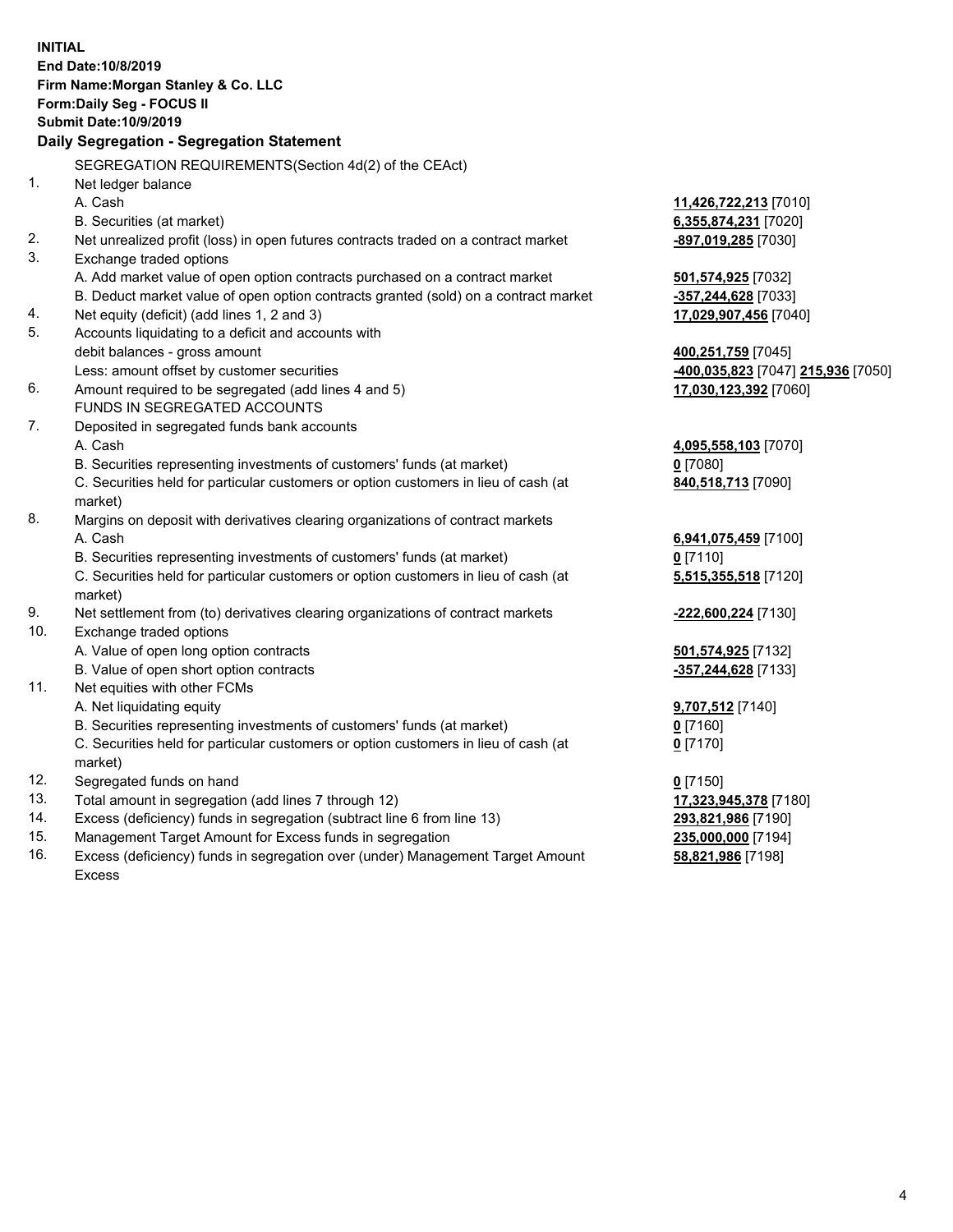|     | <b>INITIAL</b><br>End Date: 10/8/2019                                               |                                                 |
|-----|-------------------------------------------------------------------------------------|-------------------------------------------------|
|     | Firm Name: Morgan Stanley & Co. LLC                                                 |                                                 |
|     | Form: Daily Seg - FOCUS II                                                          |                                                 |
|     | <b>Submit Date: 10/9/2019</b>                                                       |                                                 |
|     | Daily Segregation - Segregation Statement                                           |                                                 |
|     | SEGREGATION REQUIREMENTS(Section 4d(2) of the CEAct)                                |                                                 |
| 1.  | Net ledger balance                                                                  |                                                 |
|     | A. Cash                                                                             | 11,426,722,213 [7010]                           |
|     | B. Securities (at market)                                                           | 6,355,874,231 [7020]                            |
| 2.  | Net unrealized profit (loss) in open futures contracts traded on a contract market  | -897,019,285 [7030]                             |
| 3.  | Exchange traded options                                                             |                                                 |
|     | A. Add market value of open option contracts purchased on a contract market         | 501,574,925 [7032]                              |
|     | B. Deduct market value of open option contracts granted (sold) on a contract market | -357,244,628 [7033]                             |
| 4.  | Net equity (deficit) (add lines 1, 2 and 3)                                         | 17,029,907,456 [7040]                           |
| 5.  | Accounts liquidating to a deficit and accounts with                                 |                                                 |
|     | debit balances - gross amount                                                       | 400,251,759 [7045]                              |
|     | Less: amount offset by customer securities                                          | <mark>-400,035,823</mark> [7047] 215,936 [7050] |
| 6.  | Amount required to be segregated (add lines 4 and 5)                                | 17,030,123,392 [7060]                           |
|     | FUNDS IN SEGREGATED ACCOUNTS                                                        |                                                 |
| 7.  | Deposited in segregated funds bank accounts                                         |                                                 |
|     | A. Cash                                                                             | 4,095,558,103 [7070]                            |
|     | B. Securities representing investments of customers' funds (at market)              | $0$ [7080]                                      |
|     | C. Securities held for particular customers or option customers in lieu of cash (at | 840,518,713 [7090]                              |
|     | market)                                                                             |                                                 |
| 8.  | Margins on deposit with derivatives clearing organizations of contract markets      |                                                 |
|     | A. Cash                                                                             | 6,941,075,459 [7100]                            |
|     | B. Securities representing investments of customers' funds (at market)              | $0$ [7110]                                      |
|     | C. Securities held for particular customers or option customers in lieu of cash (at | 5,515,355,518 [7120]                            |
|     | market)                                                                             |                                                 |
| 9.  | Net settlement from (to) derivatives clearing organizations of contract markets     | -222,600,224 [7130]                             |
| 10. | Exchange traded options                                                             |                                                 |
|     | A. Value of open long option contracts                                              | 501,574,925 [7132]                              |
|     | B. Value of open short option contracts                                             | -357,244,628 [7133]                             |
| 11. | Net equities with other FCMs                                                        |                                                 |
|     | A. Net liquidating equity                                                           | 9,707,512 [7140]                                |
|     | B. Securities representing investments of customers' funds (at market)              | $0$ [7160]                                      |
|     | C. Securities held for particular customers or option customers in lieu of cash (at | $0$ [7170]                                      |
|     | market)                                                                             |                                                 |
| 12. | Segregated funds on hand                                                            | $0$ [7150]                                      |
| 13. | Total amount in segregation (add lines 7 through 12)                                | 17,323,945,378 [7180]                           |
| 14. | Excess (deficiency) funds in segregation (subtract line 6 from line 13)             | 293,821,986 [7190]                              |
| 15. | Management Target Amount for Excess funds in segregation                            | 235,000,000 [7194]                              |
|     |                                                                                     |                                                 |

16. Excess (deficiency) funds in segregation over (under) Management Target Amount Excess

**58,821,986** [7198]